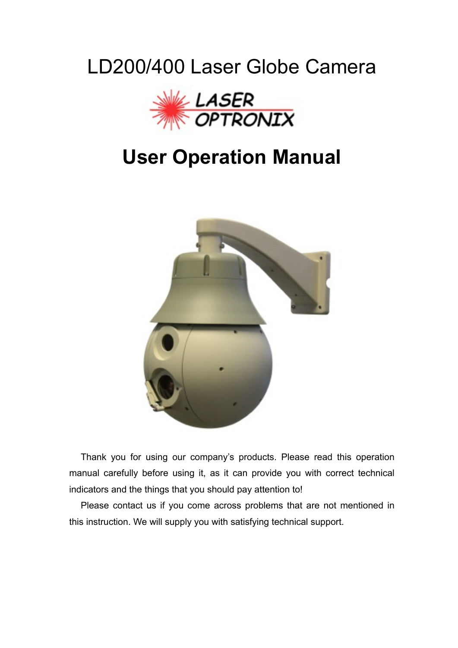# LD200/400 Laser Globe Camera



# **User Operation Manual**



Thank you for using our company's products. Please read this operation manual carefully before using it, as it can provide you with correct technical indicators and the things that you should pay attention to!

Please contact us if you come across problems that are not mentioned in this instruction. We will supply you with satisfying technical support.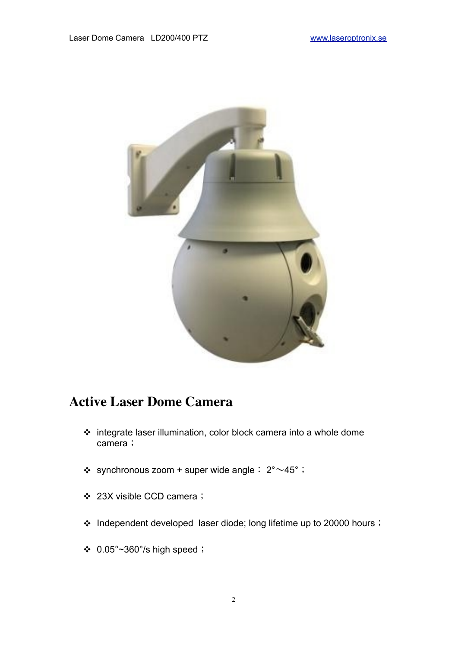

## **Active Laser Dome Camera**

- integrate laser illumination, color block camera into a whole dome camera;
- $\div$  synchronous zoom + super wide angle:  $2^{\circ} \sim 45^{\circ}$ ;
- 23X visible CCD camera;
- \* Independent developed laser diode; long lifetime up to 20000 hours;
- $\div$  0.05°~360°/s high speed;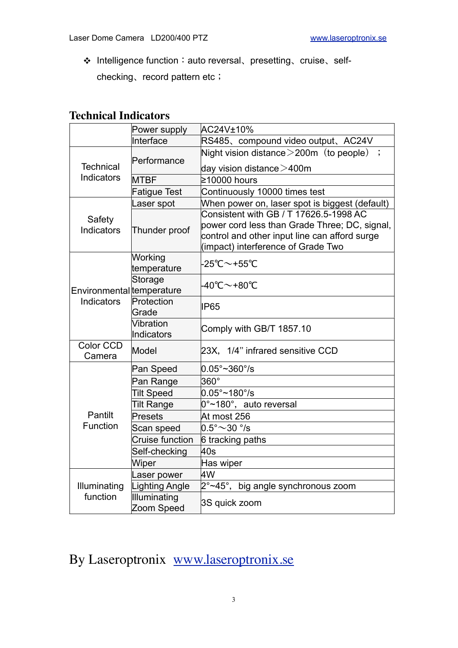Intelligence function:auto reversal、presetting、cruise、selfchecking、record pattern etc;

## **Technical Indicators**

|                             | Power supply               | AC24V±10%                                                                                                                                                                      |  |  |
|-----------------------------|----------------------------|--------------------------------------------------------------------------------------------------------------------------------------------------------------------------------|--|--|
|                             | Interface                  | RS485、compound video output、AC24V                                                                                                                                              |  |  |
|                             | Performance                | Night vision distance $>$ 200m (to people) ;                                                                                                                                   |  |  |
| <b>Technical</b>            |                            | day vision distance $>$ 400m                                                                                                                                                   |  |  |
| Indicators                  | <b>MTBF</b>                | ≥10000 hours                                                                                                                                                                   |  |  |
|                             | <b>Fatigue Test</b>        | Continuously 10000 times test                                                                                                                                                  |  |  |
|                             | Laser spot                 | When power on, laser spot is biggest (default)                                                                                                                                 |  |  |
| Safety<br><b>Indicators</b> | Thunder proof              | Consistent with GB / T 17626.5-1998 AC<br>power cord less than Grade Three; DC, signal,<br>control and other input line can afford surge<br>(impact) interference of Grade Two |  |  |
|                             | Working<br>temperature     | $-25^{\circ}$ C $\sim$ +55 $^{\circ}$ C                                                                                                                                        |  |  |
| Environmental temperature   | Storage                    | -40℃~+80℃                                                                                                                                                                      |  |  |
| Indicators                  | Protection<br>Grade        | <b>IP65</b>                                                                                                                                                                    |  |  |
|                             | Vibration<br>Indicators    | Comply with GB/T 1857.10                                                                                                                                                       |  |  |
| Color CCD<br>Camera         | Model                      | 23X, 1/4" infrared sensitive CCD                                                                                                                                               |  |  |
|                             | Pan Speed                  | $0.05^{\circ}$ ~360°/s                                                                                                                                                         |  |  |
|                             | Pan Range                  | $360^\circ$                                                                                                                                                                    |  |  |
|                             | <b>Tilt Speed</b>          | $0.05^\circ \sim 180^\circ$ /s                                                                                                                                                 |  |  |
|                             | <b>Tilt Range</b>          | $0^{\circ}$ ~180°, auto reversal                                                                                                                                               |  |  |
| Pantilt                     | Presets                    | At most 256                                                                                                                                                                    |  |  |
| Function                    | Scan speed                 | $0.5^{\circ}{\sim}30^{\circ}{\!/s}$                                                                                                                                            |  |  |
|                             | Cruise function            | 6 tracking paths                                                                                                                                                               |  |  |
|                             | Self-checking              | 40s                                                                                                                                                                            |  |  |
|                             | Wiper                      | Has wiper                                                                                                                                                                      |  |  |
|                             | Laser power                | 4W                                                                                                                                                                             |  |  |
| Illuminating                | Lighting Angle             | 2°~45°, big angle synchronous zoom                                                                                                                                             |  |  |
| function                    | Illuminating<br>Zoom Speed | 3S quick zoom                                                                                                                                                                  |  |  |

By Laseroptronix [www.laseroptronix.se](http://www.laseroptronix.se)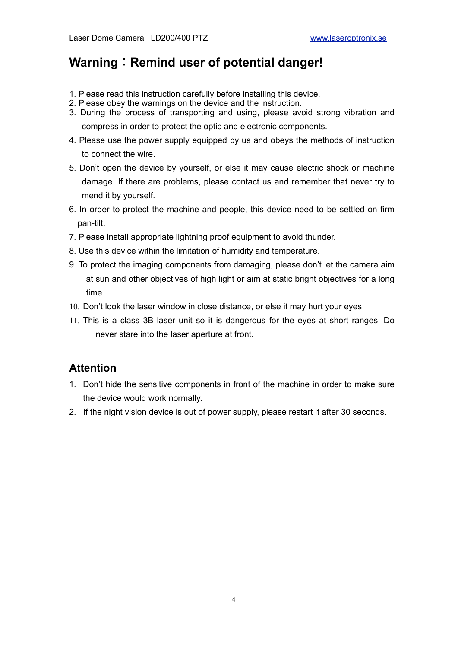## **Warning**:**Remind user of potential danger!**

- 1. Please read this instruction carefully before installing this device.
- 2. Please obey the warnings on the device and the instruction.
- 3. During the process of transporting and using, please avoid strong vibration and compress in order to protect the optic and electronic components.
- 4. Please use the power supply equipped by us and obeys the methods of instruction to connect the wire.
- 5. Don't open the device by yourself, or else it may cause electric shock or machine damage. If there are problems, please contact us and remember that never try to mend it by yourself.
- 6. In order to protect the machine and people, this device need to be settled on firm pan-tilt.
- 7. Please install appropriate lightning proof equipment to avoid thunder.
- 8. Use this device within the limitation of humidity and temperature.
- 9. To protect the imaging components from damaging, please don't let the camera aim at sun and other objectives of high light or aim at static bright objectives for a long time.
- 10. Don't look the laser window in close distance, or else it may hurt your eyes.
- 11. This is a class 3B laser unit so it is dangerous for the eyes at short ranges. Do never stare into the laser aperture at front.

## **Attention**

- 1. Don't hide the sensitive components in front of the machine in order to make sure the device would work normally.
- 2. If the night vision device is out of power supply, please restart it after 30 seconds.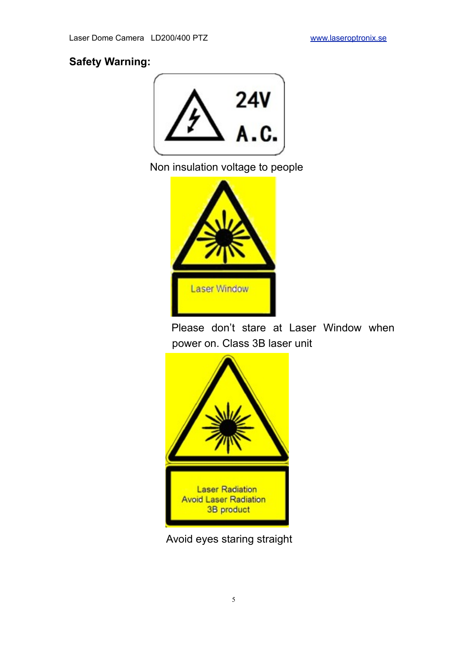## **Safety Warning:**



Non insulation voltage to people



Please don't stare at Laser Window when power on. Class 3B laser unit



Avoid eyes staring straight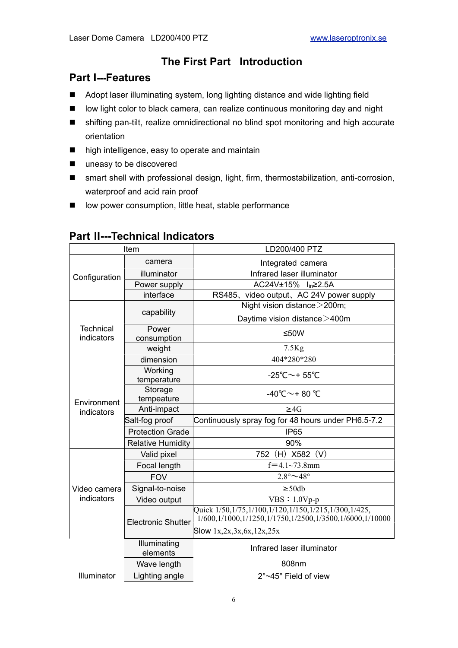## **The First Part Introduction**

## **Part Ⅰ---Features**

- Adopt laser illuminating system, long lighting distance and wide lighting field
- low light color to black camera, can realize continuous monitoring day and night
- shifting pan-tilt, realize omnidirectional no blind spot monitoring and high accurate orientation
- high intelligence, easy to operate and maintain
- uneasy to be discovered
- smart shell with professional design, light, firm, thermostabilization, anti-corrosion, waterproof and acid rain proof
- low power consumption, little heat, stable performance

| Item             |                           | LD200/400 PTZ                                                                                                          |  |  |
|------------------|---------------------------|------------------------------------------------------------------------------------------------------------------------|--|--|
|                  | camera                    | Integrated camera                                                                                                      |  |  |
| Configuration    | illuminator               | Infrared laser illuminator                                                                                             |  |  |
|                  | Power supply              | AC24V±15% l <sub>in</sub> ≥2.5A                                                                                        |  |  |
|                  | interface                 | RS485, video output, AC 24V power supply                                                                               |  |  |
|                  |                           | Night vision distance > 200m;                                                                                          |  |  |
|                  | capability                | Daytime vision distance > 400m                                                                                         |  |  |
| <b>Technical</b> | Power                     | ≤50W                                                                                                                   |  |  |
| indicators       | consumption               |                                                                                                                        |  |  |
|                  | weight                    | $7.5$ Kg                                                                                                               |  |  |
|                  | dimension                 | 404*280*280                                                                                                            |  |  |
|                  | Working                   | -25°C $\sim$ +55°C                                                                                                     |  |  |
|                  | temperature               |                                                                                                                        |  |  |
|                  | Storage                   | -40°C $\sim$ +80 °C                                                                                                    |  |  |
| Environment      | tempeature                |                                                                                                                        |  |  |
| indicators       | Anti-impact               | $\geq 4G$                                                                                                              |  |  |
|                  | Salt-fog proof            | Continuously spray fog for 48 hours under PH6.5-7.2                                                                    |  |  |
|                  | <b>Protection Grade</b>   | <b>IP65</b>                                                                                                            |  |  |
|                  | <b>Relative Humidity</b>  | 90%                                                                                                                    |  |  |
|                  | Valid pixel               | 752 (H) X582 (V)                                                                                                       |  |  |
|                  | Focal length              | $f=4.1-73.8$ mm                                                                                                        |  |  |
|                  | <b>FOV</b>                | $2.8^\circ \sim 48^\circ$                                                                                              |  |  |
| Video camera     | Signal-to-noise           | $\geq$ 50db                                                                                                            |  |  |
| indicators       | Video output              | $VBS: 1.0Vp-p$                                                                                                         |  |  |
|                  | <b>Electronic Shutter</b> | Quick 1/50, 1/75, 1/100, 1/120, 1/150, 1/215, 1/300, 1/425,<br>1/600,1/1000,1/1250,1/1750,1/2500,1/3500,1/6000,1/10000 |  |  |
|                  |                           | Slow $1x, 2x, 3x, 6x, 12x, 25x$                                                                                        |  |  |
|                  | Illuminating<br>elements  | Infrared laser illuminator                                                                                             |  |  |
|                  | Wave length               | 808nm                                                                                                                  |  |  |
| Illuminator      | Lighting angle            | 2°~45° Field of view                                                                                                   |  |  |

## **Part Ⅱ---Technical Indicators**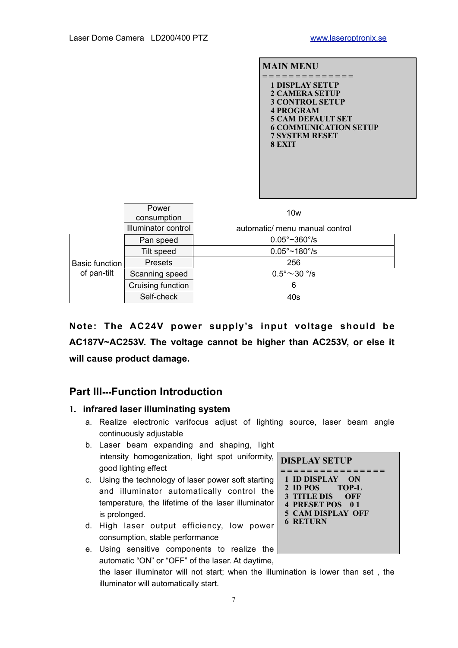



**Note: The AC24V power supply's input voltage should be AC187V~AC253V. The voltage cannot be higher than AC253V, or else it will cause product damage.** 

## **Part III---Function Introduction**

#### **1. infrared laser illuminating system**

- a. Realize electronic varifocus adjust of lighting source, laser beam angle continuously adjustable
- b. Laser beam expanding and shaping, light intensity homogenization, light spot uniformity, good lighting effect
- c. Using the technology of laser power soft starting and illuminator automatically control the temperature, the lifetime of the laser illuminator is prolonged.
- d. High laser output efficiency, low power consumption, stable performance
- **1 ID DISPLAY ON 2 ID POS TOP-L 3 TITLE DIS OFF 4 PRESET POS 0 1 5 CAM DISPLAY OFF 6 RETURN**

**DISPLAY SETUP = = = = = = = = = = = = = = = =** 

e. Using sensitive components to realize the automatic "ON" or "OFF" of the laser. At daytime, the laser illuminator will not start; when the illumination is lower than set , the illuminator will automatically start.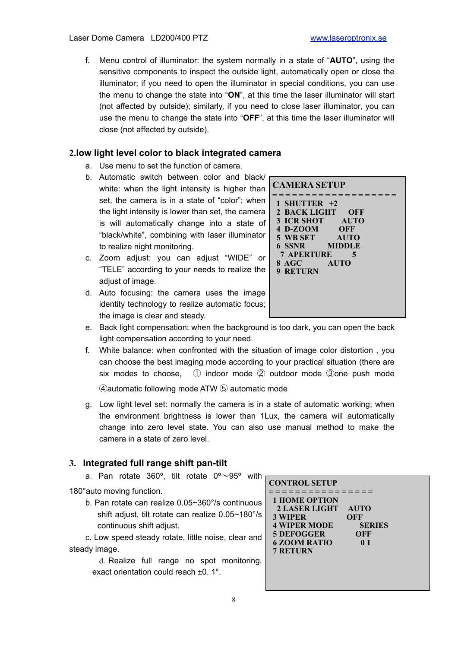f. Menu control of illuminator: the system normally in a state of "**AUTO**", using the sensitive components to inspect the outside light, automatically open or close the illuminator; if you need to open the illuminator in special conditions, you can use the menu to change the state into "**ON**", at this time the laser illuminator will start (not affected by outside); similarly, if you need to close laser illuminator, you can use the menu to change the state into "**OFF**", at this time the laser illuminator will close (not affected by outside).

#### **2.low light level color to black integrated camera**

- a. Use menu to set the function of camera.
- b. Automatic switch between color and black/ white: when the light intensity is higher than set, the camera is in a state of "color"; when the light intensity is lower than set, the camera is will automatically change into a state of "black/white", combining with laser illuminator to realize night monitoring.
- c. Zoom adjust: you can adjust "WIDE" or "TELE" according to your needs to realize the adjust of image.
- d. Auto focusing: the camera uses the image identity technology to realize automatic focus; the image is clear and steady.



- e. Back light compensation: when the background is too dark, you can open the back light compensation according to your need.
- f. White balance: when confronted with the situation of image color distortion , you can choose the best imaging mode according to your practical situation (there are six modes to choose, ① indoor mode ② outdoor mode ③one push mode

④automatic following mode ATW ⑤ automatic mode

g. Low light level set: normally the camera is in a state of automatic working; when the environment brightness is lower than 1Lux, the camera will automatically change into zero level state. You can also use manual method to make the camera in a state of zero level.

#### **3. Integrated full range shift pan-tilt**

a. Pan rotate 360 $^{\circ}$ , tilt rotate 0 $^{\circ}$  ~95 $^{\circ}$  with 180°auto moving function. b. Pan rotate can realize 0.05~360°/s continuous shift adjust, tilt rotate can realize 0.05~180°/s continuous shift adjust. c. Low speed steady rotate, little noise, clear and steady image. d. Realize full range no spot monitoring, exact orientation could reach ±0. 1°. **CONTROL SETUP = = = = = = = = = = = = = = = = 1 HOME OPTION 2 LASER LIGHT AUTO 3 WIPER OFF 4 WIPER MODE SERIES<br>5 DEFOGGER OFF 5 DEFOGGER 6 ZOOM RATIO 0 1 7 RETURN**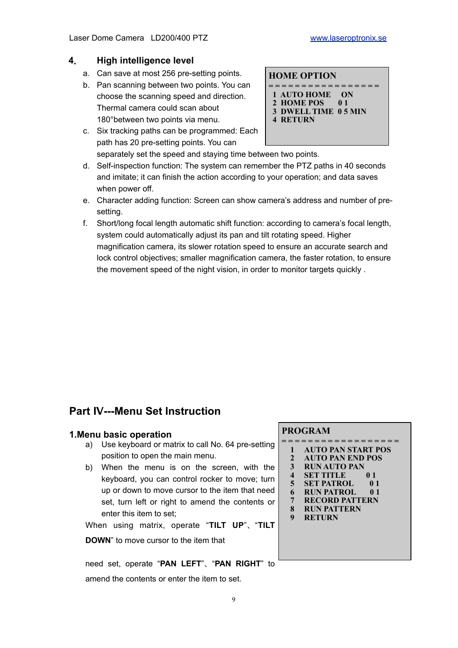#### **4**. **High intelligence level**

- a. Can save at most 256 pre-setting points.
- b. Pan scanning between two points. You can choose the scanning speed and direction. Thermal camera could scan about 180°between two points via menu.
- c. Six tracking paths can be programmed: Each path has 20 pre-setting points. You can separately set the speed and staying time between two points.

#### **HOME OPTION**

- **= = = = = = = = = = = = = = = = =**
- **1 AUTO HOME ON**
- **2 HOME POS 0 1 3 DWELL TIME 0 5 MIN**
- **4 RETURN**
- d. Self-inspection function: The system can remember the PTZ paths in 40 seconds and imitate; it can finish the action according to your operation; and data saves when power off.
- e. Character adding function: Screen can show camera's address and number of presetting.
- f. Short/long focal length automatic shift function: according to camera's focal length, system could automatically adjust its pan and tilt rotating speed. Higher magnification camera, its slower rotation speed to ensure an accurate search and lock control objectives; smaller magnification camera, the faster rotation, to ensure the movement speed of the night vision, in order to monitor targets quickly .

## **Part Ⅳ---Menu Set Instruction**

#### **1.Menu basic operation**

- a) Use keyboard or matrix to call No. 64 pre-setting position to open the main menu.
- b) When the menu is on the screen, with the keyboard, you can control rocker to move; turn up or down to move cursor to the item that need set, turn left or right to amend the contents or enter this item to set;

When using matrix, operate "**TILT UP**"、"**TILT** 

**DOWN**" to move cursor to the item that

need set, operate "**PAN LEFT**"、"**PAN RIGHT**" to

amend the contents or enter the item to set.

#### **PROGRAM**

- **= = = = = = = = = = = = = = = = = = 1 AUTO PAN START POS**
	- **2 AUTO PAN END POS**
	- **3 RUN AUTO PAN**
	- **5ET TITLE**
	- **5 SET PATROL 0 1 6 RUN PATROL 0 1**
	- **7 RECORD PATTERN**
	- **8 RUN PATTERN**
	- **9 RETURN**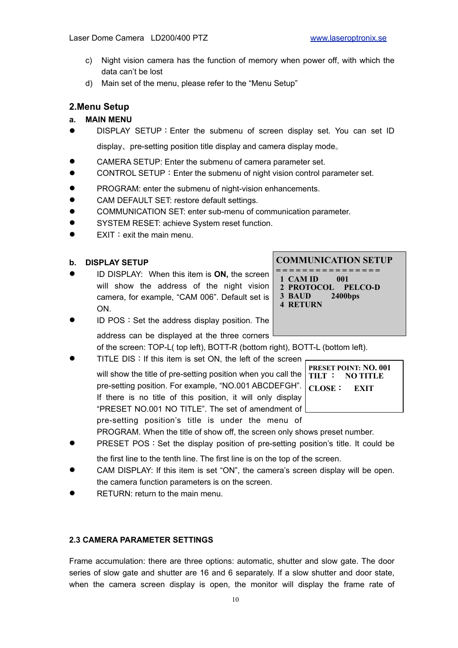- c) Night vision camera has the function of memory when power off, with which the data can't be lost
- d) Main set of the menu, please refer to the "Menu Setup"

#### **2.Menu Setup**

#### **a. MAIN MENU**

- DISPLAY SETUP: Enter the submenu of screen display set. You can set ID display、pre-setting position title display and camera display mode。
- CAMERA SETUP: Enter the submenu of camera parameter set.
- CONTROL SETUP: Enter the submenu of night vision control parameter set.
- **PROGRAM: enter the submenu of night-vision enhancements.**
- CAM DEFAULT SET: restore default settings.
- COMMUNICATION SET: enter sub-menu of communication parameter.
- SYSTEM RESET: achieve System reset function.
- $\bullet$  EXIT: exit the main menu.
- **b. DISPLAY SETUP**
- ID DISPLAY: When this item is **ON,** the screen will show the address of the night vision camera, for example, "CAM 006". Default set is ON.

#### **COMMUNICATION SETUP**

- **= = = = = = = = = = = = = = = = 1 CAM ID 001 2 PROTOCOL PELCO-D**
- **3 BAUD 2400bps**
- **4 RETURN**
- **ID POS: Set the address display position. The**

address can be displayed at the three corners

of the screen: TOP-L( top left), BOTT-R (bottom right), BOTT-L (bottom left).

TITLE DIS: If this item is set ON, the left of the screen

will show the title of pre-setting position when you call the pre-setting position. For example, "NO.001 ABCDEFGH". If there is no title of this position, it will only display "PRESET NO.001 NO TITLE". The set of amendment of pre-setting position's title is under the menu of

**PRESET POINT: NO. 001 TILT** : **NO TITLE CLOSE**: **EXIT**

PROGRAM. When the title of show off, the screen only shows preset number.

- PRESET POS: Set the display position of pre-setting position's title. It could be
- the first line to the tenth line. The first line is on the top of the screen.
- CAM DISPLAY: If this item is set "ON", the camera's screen display will be open. the camera function parameters is on the screen.
- RETURN: return to the main menu.

#### **2.3 CAMERA PARAMETER SETTINGS**

Frame accumulation: there are three options: automatic, shutter and slow gate. The door series of slow gate and shutter are 16 and 6 separately. If a slow shutter and door state, when the camera screen display is open, the monitor will display the frame rate of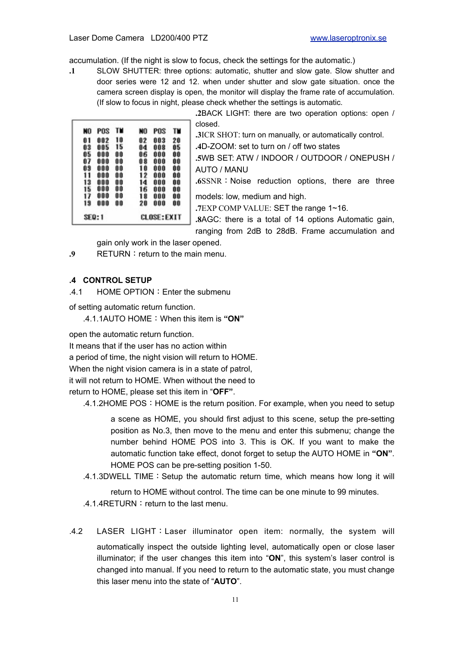accumulation. (If the night is slow to focus, check the settings for the automatic.)

**.1** SLOW SHUTTER: three options: automatic, shutter and slow gate. Slow shutter and door series were 12 and 12. when under shutter and slow gate situation. once the camera screen display is open, the monitor will display the frame rate of accumulation. (If slow to focus in night, please check whether the settings is automatic.

| NO | POS    | TM | NO | POS                | TĦ |
|----|--------|----|----|--------------------|----|
| 81 | 002    | 10 | 02 | 003                | 20 |
| 03 | 005    | 15 | 04 | 008                | û5 |
| 05 | 000    | 00 | 86 | 000                | û0 |
| 87 | 000    | 00 | 08 | 000                | 88 |
| 09 | 000    | 00 | 10 | 000                | ŨŨ |
| 11 | 000    | 00 | 12 | 000                | ÔŨ |
| 13 | 000    | 00 | 14 | 000                | 88 |
| 15 | 000    | 00 | 16 | 000                | 88 |
| 17 | 000    | 00 | 18 | 000                | 80 |
| 19 | 000    | 00 | 20 | 000                | 88 |
|    | SEQ: 1 |    |    | <b>CLOSE: EXIT</b> |    |

| 2BACK LIGHT: there are two operation options: open /    |
|---------------------------------------------------------|
| closed.                                                 |
| .3ICR SHOT: turn on manually, or automatically control. |
| .4D-ZOOM: set to turn on / off two states               |
| .5WB SET: ATW / INDOOR / OUTDOOR / ONEPUSH /            |
| AUTO / MANU                                             |
| .6SSNR: Noise reduction options, there are three        |
| models: low, medium and high.                           |
| .7EXP COMP VALUE: SET the range 1~16.                   |
| .8AGC: there is a total of 14 options Automatic gain,   |
| ranging from 2dB to 28dB. Frame accumulation and        |

gain only work in the laser opened.

**.9** RETURN: return to the main menu.

#### **.4 CONTROL SETUP**

.4.1 HOME OPTION:Enter the submenu

of setting automatic return function.

.4.1.1AUTO HOME:When this item is **"ON"**

open the automatic return function.

It means that if the user has no action within

a period of time, the night vision will return to HOME.

When the night vision camera is in a state of patrol,

it will not return to HOME. When without the need to

return to HOME, please set this item in "**OFF"**.

.4.1.2HOME POS:HOME is the return position. For example, when you need to setup

a scene as HOME, you should first adjust to this scene, setup the pre-setting position as No.3, then move to the menu and enter this submenu; change the number behind HOME POS into 3. This is OK. If you want to make the automatic function take effect, donot forget to setup the AUTO HOME in **"ON"**. HOME POS can be pre-setting position 1-50.

.4.1.3DWELL TIME:Setup the automatic return time, which means how long it will

return to HOME without control. The time can be one minute to 99 minutes. .4.1.4RETURN: return to the last menu.

.4.2 LASER LIGHT:Laser illuminator open item: normally, the system will automatically inspect the outside lighting level, automatically open or close laser illuminator; if the user changes this item into "**ON**", this system's laser control is changed into manual. If you need to return to the automatic state, you must change this laser menu into the state of "**AUTO**".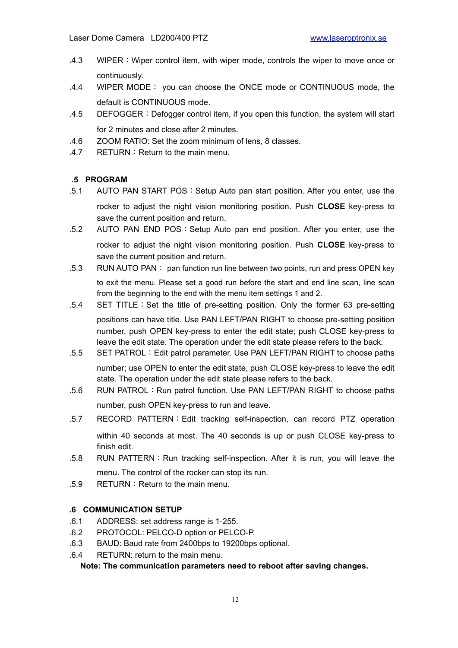- .4.3 WIPER:Wiper control item, with wiper mode, controls the wiper to move once or continuously.
- .4.4 WIPER MODE: you can choose the ONCE mode or CONTINUOUS mode, the default is CONTINUOUS mode.
- .4.5 DEFOGGER:Defogger control item, if you open this function, the system will start for 2 minutes and close after 2 minutes.
- .4.6 ZOOM RATIO: Set the zoom minimum of lens, 8 classes.
- $.4.7$  RETURN : Return to the main menu.

#### **.5 PROGRAM**

- .5.1 AUTO PAN START POS:Setup Auto pan start position. After you enter, use the rocker to adjust the night vision monitoring position. Push **CLOSE** key-press to save the current position and return.
- .5.2 AUTO PAN END POS:Setup Auto pan end position. After you enter, use the rocker to adjust the night vision monitoring position. Push **CLOSE** key-press to save the current position and return.
- .5.3 RUN AUTO PAN: pan function run line between two points, run and press OPEN key to exit the menu. Please set a good run before the start and end line scan, line scan from the beginning to the end with the menu item settings 1 and 2.
- .5.4 SET TITLE:Set the title of pre-setting position. Only the former 63 pre-setting positions can have title. Use PAN LEFT/PAN RIGHT to choose pre-setting position number, push OPEN key-press to enter the edit state; push CLOSE key-press to leave the edit state. The operation under the edit state please refers to the back.
- .5.5 SET PATROL: Edit patrol parameter. Use PAN LEFT/PAN RIGHT to choose paths number; use OPEN to enter the edit state, push CLOSE key-press to leave the edit state. The operation under the edit state please refers to the back.
- .5.6 RUN PATROL: Run patrol function. Use PAN LEFT/PAN RIGHT to choose paths number, push OPEN key-press to run and leave.
- .5.7 RECORD PATTERN:Edit tracking self-inspection, can record PTZ operation within 40 seconds at most. The 40 seconds is up or push CLOSE key-press to finish edit.
- .5.8 RUN PATTERN: Run tracking self-inspection. After it is run, you will leave the menu. The control of the rocker can stop its run.
- $.5.9$  RETURN : Return to the main menu.

#### **.6 COMMUNICATION SETUP**

- .6.1 ADDRESS: set address range is 1-255.
- .6.2 PROTOCOL: PELCO-D option or PELCO-P.
- .6.3 BAUD: Baud rate from 2400bps to 19200bps optional.
- .6.4 RETURN: return to the main menu.

**Note: The communication parameters need to reboot after saving changes.**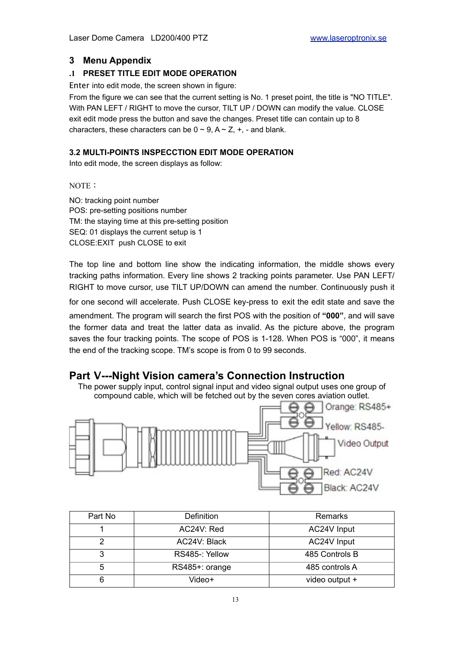#### **3 Menu Appendix**

#### **.1 PRESET TITLE EDIT MODE OPERATION**

Enter into edit mode, the screen shown in figure:

From the figure we can see that the current setting is No. 1 preset point, the title is "NO TITLE". With PAN LEFT / RIGHT to move the cursor, TILT UP / DOWN can modify the value. CLOSE exit edit mode press the button and save the changes. Preset title can contain up to 8 characters, these characters can be  $0 \sim 9$ ,  $A \sim Z$ ,  $+$ ,  $-$  and blank.

#### **3.2 MULTI-POINTS INSPECCTION EDIT MODE OPERATION**

Into edit mode, the screen displays as follow:

NOTE:

NO: tracking point number POS: pre-setting positions number TM: the staying time at this pre-setting position SEQ: 01 displays the current setup is 1 CLOSE:EXIT push CLOSE to exit

The top line and bottom line show the indicating information, the middle shows every tracking paths information. Every line shows 2 tracking points parameter. Use PAN LEFT/ RIGHT to move cursor, use TILT UP/DOWN can amend the number. Continuously push it

for one second will accelerate. Push CLOSE key-press to exit the edit state and save the amendment. The program will search the first POS with the position of **"000"**, and will save the former data and treat the latter data as invalid. As the picture above, the program saves the four tracking points. The scope of POS is 1-128. When POS is "000", it means the end of the tracking scope. TM's scope is from 0 to 99 seconds.

#### **Part V---Night Vision camera's Connection Instruction**

The power supply input, control signal input and video signal output uses one group of compound cable, which will be fetched out by the seven cores aviation outlet.



| Part No | Definition     | Remarks        |
|---------|----------------|----------------|
|         | AC24V: Red     | AC24V Input    |
|         | AC24V: Black   | AC24V Input    |
|         | RS485-: Yellow | 485 Controls B |
| 5       | RS485+: orange | 485 controls A |
|         | Video+         | video output + |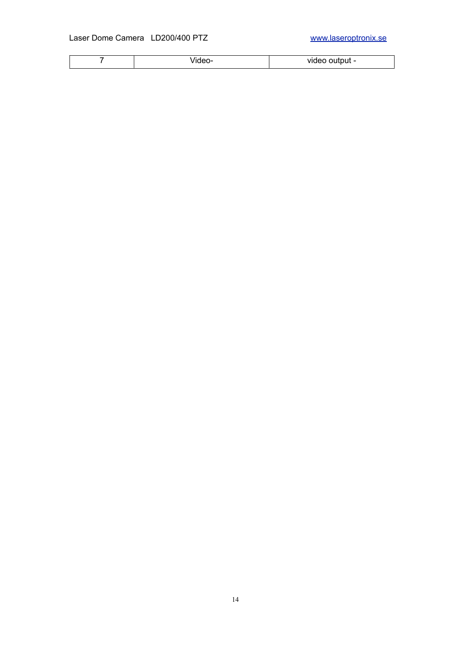|  | . . | . .: .<br>.<br>video odiput |
|--|-----|-----------------------------|
|--|-----|-----------------------------|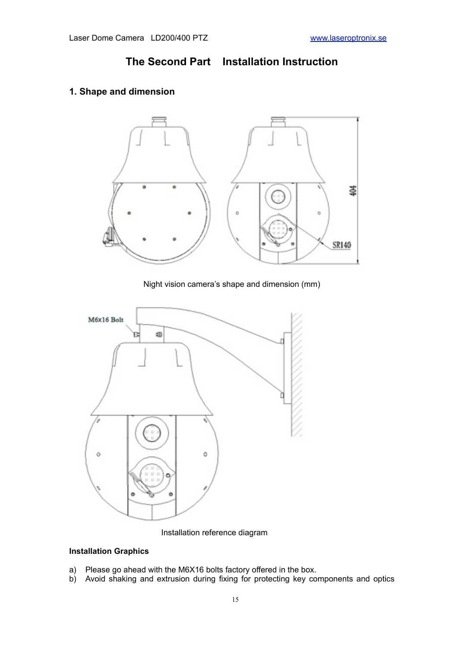**The Second Part Installation Instruction** 

#### **1. Shape and dimension**



Night vision camera's shape and dimension (mm)



Installation reference diagram

#### **Installation Graphics**

- a) Please go ahead with the M6X16 bolts factory offered in the box.
- b) Avoid shaking and extrusion during fixing for protecting key components and optics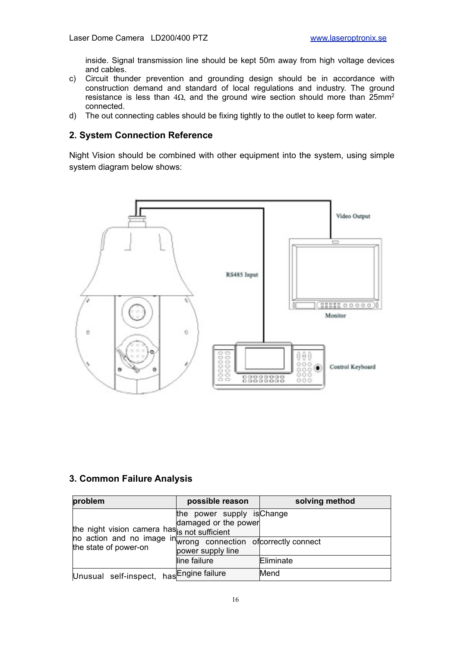inside. Signal transmission line should be kept 50m away from high voltage devices and cables.

- c) Circuit thunder prevention and grounding design should be in accordance with construction demand and standard of local regulations and industry. The ground resistance is less than  $4\Omega$ , and the ground wire section should more than 25mm<sup>2</sup> connected.
- d) The out connecting cables should be fixing tightly to the outlet to keep form water.

#### **2. System Connection Reference**

Night Vision should be combined with other equipment into the system, using simple system diagram below shows:



#### **3. Common Failure Analysis**

| problem                                                                                                                                  | possible reason                                                         | solving method |
|------------------------------------------------------------------------------------------------------------------------------------------|-------------------------------------------------------------------------|----------------|
| the night vision camera has is not sufficient<br>no action and no image inwrong connection of correctly connect<br>the state of power-on | the power supply is Change<br>damaged or the power<br>power supply line |                |
|                                                                                                                                          | line failure                                                            | Eliminate      |
| Unusual self-inspect, has Engine failure                                                                                                 |                                                                         | Mend           |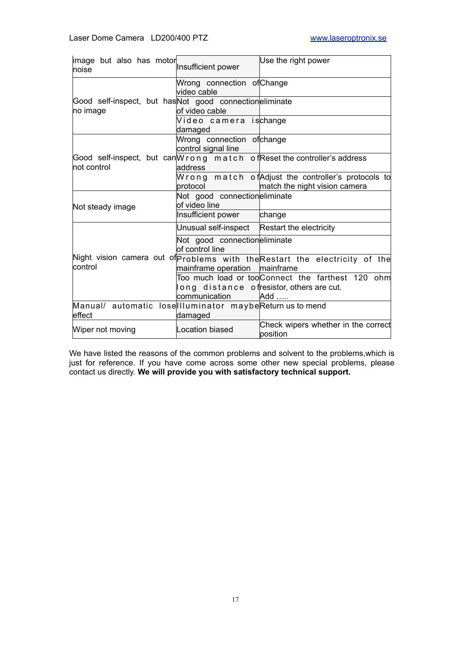| image but also has motor<br>noise                                   | Insufficient power                                | Use the right power                                                                                    |
|---------------------------------------------------------------------|---------------------------------------------------|--------------------------------------------------------------------------------------------------------|
|                                                                     | Wrong connection of Change<br>video cable         |                                                                                                        |
| Good self-inspect, but has Not good connectioneliminate<br>no image | of video cable                                    |                                                                                                        |
|                                                                     | Video camera is <mark>change</mark><br>damaged    |                                                                                                        |
|                                                                     | Wrong connection of change<br>control signal line |                                                                                                        |
| not control                                                         | address                                           | Good self-inspect, but can W r o n g m at c h o fReset the controller's address                        |
|                                                                     | protocol                                          | Wrong match ofAdjust the controller's protocols to<br>match the night vision camera                    |
| Not steady image                                                    | Not good connectioneliminate<br>of video line     |                                                                                                        |
|                                                                     | Insufficient power                                | change                                                                                                 |
|                                                                     | Unusual self-inspect                              | Restart the electricity                                                                                |
|                                                                     | Not good connectioneliminate<br>of control line   |                                                                                                        |
| control                                                             | mainframe operation                               | Night vision camera out of problems with the Restart the electricity of the<br>mainframe               |
|                                                                     | communication                                     | Too much load or too Connect the farthest 120 ohm<br>long distance of resistor, others are cut.<br>Add |
| Manual/ automatic lose Illuminator maybeReturn us to mend<br>effect | damaged                                           |                                                                                                        |
| Wiper not moving                                                    | Location biased                                   | Check wipers whether in the correct<br>position                                                        |

We have listed the reasons of the common problems and solvent to the problems,which is just for reference. If you have come across some other new special problems, please contact us directly. **We will provide you with satisfactory technical support.**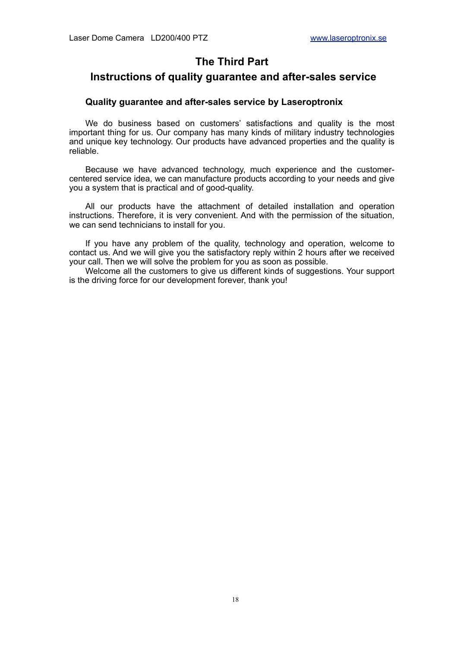## **The Third Part**

#### **Instructions of quality guarantee and after-sales service**

#### **Quality guarantee and after-sales service by Laseroptronix**

We do business based on customers' satisfactions and quality is the most important thing for us. Our company has many kinds of military industry technologies and unique key technology. Our products have advanced properties and the quality is reliable.

Because we have advanced technology, much experience and the customercentered service idea, we can manufacture products according to your needs and give you a system that is practical and of good-quality.

All our products have the attachment of detailed installation and operation instructions. Therefore, it is very convenient. And with the permission of the situation, we can send technicians to install for you.

If you have any problem of the quality, technology and operation, welcome to contact us. And we will give you the satisfactory reply within 2 hours after we received your call. Then we will solve the problem for you as soon as possible.

Welcome all the customers to give us different kinds of suggestions. Your support is the driving force for our development forever, thank you!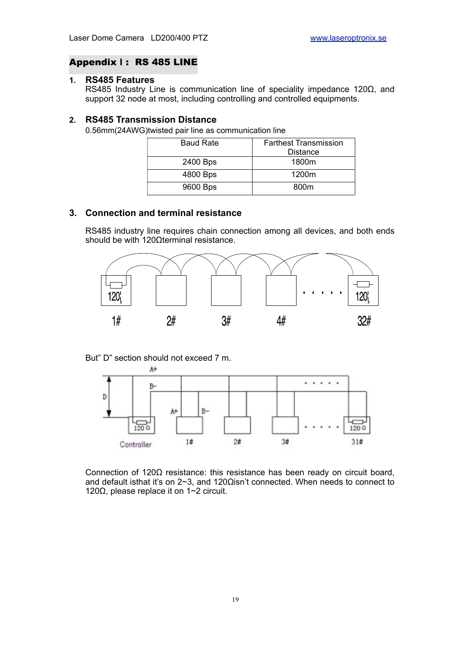#### Appendix **Ⅰ** : RS 485 LINE

#### **1. RS485 Features**

RS485 Industry Line is communication line of speciality impedance 120Ω, and support 32 node at most, including controlling and controlled equipments.

#### **2. RS485 Transmission Distance**

0.56mm(24AWG)twisted pair line as communication line

| <b>Farthest Transmission</b> |
|------------------------------|
| <b>Distance</b>              |
| 1800m                        |
| 1200m                        |
| 800m                         |
|                              |

#### **3. Connection and terminal resistance**

RS485 industry line requires chain connection among all devices, and both ends should be with 120Ωterminal resistance.



But" D" section should not exceed 7 m.



Connection of 120Ω resistance: this resistance has been ready on circuit board, and default isthat it's on 2~3, and 120Ωisn't connected. When needs to connect to 120Ω, please replace it on 1~2 circuit.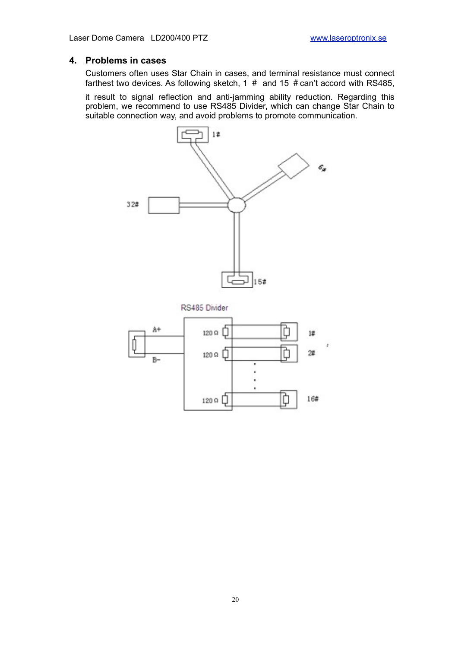#### **4. Problems in cases**

Customers often uses Star Chain in cases, and terminal resistance must connect farthest two devices. As following sketch, 1  $#$  and 15  $#$  can't accord with RS485,

it result to signal reflection and anti-jamming ability reduction. Regarding this problem, we recommend to use RS485 Divider, which can change Star Chain to suitable connection way, and avoid problems to promote communication.

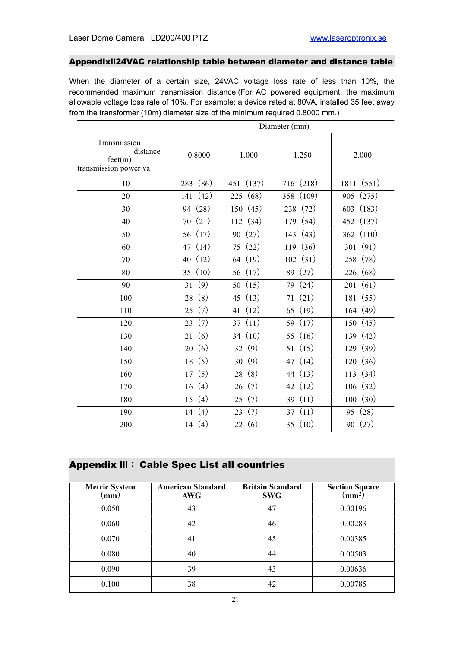#### Appendix**Ⅱ**24VAC relationship table between diameter and distance table

When the diameter of a certain size, 24VAC voltage loss rate of less than 10%, the recommended maximum transmission distance.(For AC powered equipment, the maximum allowable voltage loss rate of 10%. For example: a device rated at 80VA, installed 35 feet away from the transformer (10m) diameter size of the minimum required 0.8000 mm.)

|                                                              | Diameter (mm) |              |           |               |  |
|--------------------------------------------------------------|---------------|--------------|-----------|---------------|--|
| Transmission<br>distance<br>fect(m)<br>transmission power va | 0.8000        | 1.000        | 1.250     | 2.000         |  |
| 10                                                           | (86)<br>283   | (137)<br>451 | 716 (218) | (551)<br>1811 |  |
| 20                                                           | (42)          | (68)         | (109)     | (275)         |  |
|                                                              | 141           | 225          | 358       | 905           |  |
| 30                                                           | (28)          | (45)         | (72)      | (183)         |  |
|                                                              | 94            | 150          | 238       | 603           |  |
| 40                                                           | (21)          | (34)         | (54)      | (137)         |  |
|                                                              | 70            | 112          | 179       | 452           |  |
| 50                                                           | (17)          | (27)         | (43)      | (110)         |  |
|                                                              | 56            | 90           | 143       | 362           |  |
| 60                                                           | (14)          | (22)         | (36)      | (91)          |  |
|                                                              | 47            | 75           | 119       | 301           |  |
| 70                                                           | (12)          | (19)         | (31)      | (78)          |  |
|                                                              | 40            | 64           | 102       | 258           |  |
| 80                                                           | (10)          | (17)         | (27)      | (68)          |  |
|                                                              | 35            | 56           | 89        | 226           |  |
| 90                                                           | (9)           | (15)         | (24)      | (61)          |  |
|                                                              | 31            | 50           | 79        | 201           |  |
| 100                                                          | (8)           | (13)         | (21)      | (55)          |  |
|                                                              | 28            | 45           | 71        | 181           |  |
| 110                                                          | (7)           | (12)         | (19)      | (49)          |  |
|                                                              | 25            | 41           | 65        | 164           |  |
| 120                                                          | (7)           | (11)         | (17)      | (45)          |  |
|                                                              | 23            | 37           | 59        | 150           |  |
| 130                                                          | (6)           | (10)         | (16)      | (42)          |  |
|                                                              | 21            | 34           | 55        | 139           |  |
| 140                                                          | (6)           | (9)          | (15)      | (39)          |  |
|                                                              | 20            | 32           | 51        | 129           |  |
| 150                                                          | (5)           | (9)          | (14)      | (36)          |  |
|                                                              | 18            | 30           | 47        | 120           |  |
| 160                                                          | (5)           | (8)          | (13)      | (34)          |  |
|                                                              | 17            | 28           | 44        | 113           |  |
| 170                                                          | (4)           | (7)          | (12)      | (32)          |  |
|                                                              | 16            | 26           | 42        | 106           |  |
| 180                                                          | (4)           | (7)          | (11)      | (30)          |  |
|                                                              | 15            | 25           | 39        | 100           |  |
| 190                                                          | (4)           | (7)          | (11)      | (28)          |  |
|                                                              | 14            | 23           | 37        | 95            |  |
| 200                                                          | (4)           | (6)          | (10)      | (27)          |  |
|                                                              | 14            | 22           | 35        | 90            |  |

### Appendix **Ⅲ**: Cable Spec List all countries

| <b>Metric System</b><br>.mm) | <b>American Standard</b><br>AWG | <b>Britain Standard</b><br><b>SWG</b> | <b>Section Square</b><br>$\mathbf{m}$ $\mathbf{m}$ <sup>2</sup> ) |
|------------------------------|---------------------------------|---------------------------------------|-------------------------------------------------------------------|
| 0.050                        | 43                              | 47                                    | 0.00196                                                           |
| 0.060                        | 42                              | 46                                    | 0.00283                                                           |
| 0.070                        | 41                              | 45                                    | 0.00385                                                           |
| 0.080                        | 40                              | 44                                    | 0.00503                                                           |
| 0.090                        | 39                              | 43                                    | 0.00636                                                           |
| 0.100                        | 38                              | 42                                    | 0.00785                                                           |